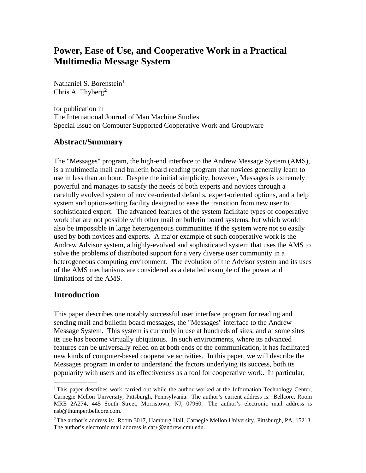# **Power, Ease of Use, and Cooperative Work in a Practical Multimedia Message System**

Nathaniel S. Borenstein $<sup>1</sup>$ </sup> Chris A. Thyberg<sup>2</sup>

for publication in The International Journal of Man Machine Studies Special Issue on Computer Supported Cooperative Work and Groupware

## **Abstract/Summary**

The "Messages" program, the high-end interface to the Andrew Message System (AMS), is a multimedia mail and bulletin board reading program that novices generally learn to use in less than an hour. Despite the initial simplicity, however, Messages is extremely powerful and manages to satisfy the needs of both experts and novices through a carefully evolved system of novice-oriented defaults, expert-oriented options, and a help system and option-setting facility designed to ease the transition from new user to sophisticated expert. The advanced features of the system facilitate types of cooperative work that are not possible with other mail or bulletin board systems, but which would also be impossible in large heterogeneous communities if the system were not so easily used by both novices and experts. A major example of such cooperative work is the Andrew Advisor system, a highly-evolved and sophisticated system that uses the AMS to solve the problems of distributed support for a very diverse user community in a heterogeneous computing environment. The evolution of the Advisor system and its uses of the AMS mechanisms are considered as a detailed example of the power and limitations of the AMS.

# **Introduction**

This paper describes one notably successful user interface program for reading and sending mail and bulletin board messages, the "Messages" interface to the Andrew Message System. This system is currently in use at hundreds of sites, and at some sites its use has become virtually ubiquitous. In such environments, where its advanced features can be universally relied on at both ends of the communication, it has facilitated new kinds of computer-based cooperative activities. In this paper, we will describe the Messages program in order to understand the factors underlying its success, both its popularity with users and its effectiveness as a tool for cooperative work. In particular,

 $1$ This paper describes work carried out while the author worked at the Information Technology Center, Carnegie Mellon University, Pittsburgh, Pennsylvania. The author's current address is: Bellcore, Room MRE 2A274, 445 South Street, Morristown, NJ, 07960. The author's electronic mail address is nsb@thumper.bellcore.com.

<sup>2</sup> The author's address is: Room 3017, Hamburg Hall, Carnegie Mellon University, Pittsburgh, PA, 15213. The author's electronic mail address is cat+@andrew.cmu.edu.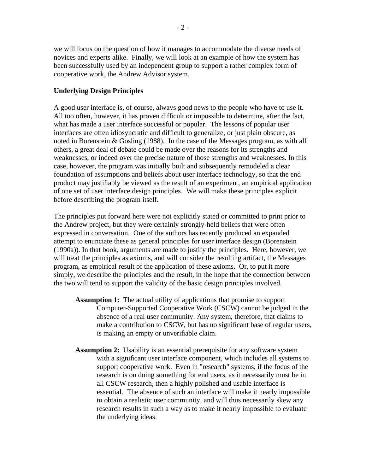we will focus on the question of how it manages to accommodate the diverse needs of novices and experts alike. Finally, we will look at an example of how the system has been successfully used by an independent group to support a rather complex form of cooperative work, the Andrew Advisor system.

### **Underlying Design Principles**

A good user interface is, of course, always good news to the people who have to use it. All too often, however, it has proven difficult or impossible to determine, after the fact, what has made a user interface successful or popular. The lessons of popular user interfaces are often idiosyncratic and difficult to generalize, or just plain obscure, as noted in Borenstein & Gosling (1988). In the case of the Messages program, as with all others, a great deal of debate could be made over the reasons for its strengths and weaknesses, or indeed over the precise nature of those strengths and weaknesses. In this case, however, the program was initially built and subsequently remodeled a clear foundation of assumptions and beliefs about user interface technology, so that the end product may justifiably be viewed as the result of an experiment, an empirical application of one set of user interface design principles. We will make these principles explicit before describing the program itself.

The principles put forward here were not explicitly stated or committed to print prior to the Andrew project, but they were certainly strongly-held beliefs that were often expressed in conversation. One of the authors has recently produced an expanded attempt to enunciate these as general principles for user interface design (Borenstein (1990a)). In that book, arguments are made to justify the principles. Here, however, we will treat the principles as axioms, and will consider the resulting artifact, the Messages program, as empirical result of the application of these axioms. Or, to put it more simply, we describe the principles and the result, in the hope that the connection between the two will tend to support the validity of the basic design principles involved.

- **Assumption 1:** The actual utility of applications that promise to support Computer-Supported Cooperative Work (CSCW) cannot be judged in the absence of a real user community. Any system, therefore, that claims to make a contribution to CSCW, but has no significant base of regular users, is making an empty or unverifiable claim.
- **Assumption 2:** Usability is an essential prerequisite for any software system with a significant user interface component, which includes all systems to support cooperative work. Even in "research" systems, if the focus of the research is on doing something for end users, as it necessarily must be in all CSCW research, then a highly polished and usable interface is essential. The absence of such an interface will make it nearly impossible to obtain a realistic user community, and will thus necessarily skew any research results in such a way as to make it nearly impossible to evaluate the underlying ideas.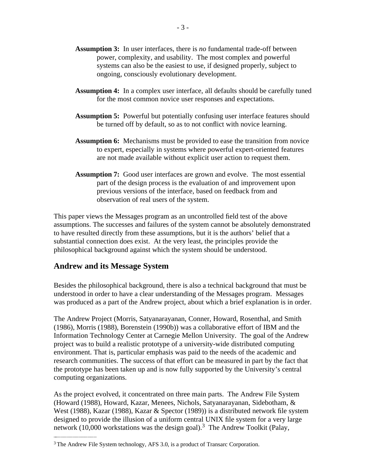- **Assumption 3:** In user interfaces, there is *no* fundamental trade-off between power, complexity, and usability. The most complex and powerful systems can also be the easiest to use, if designed properly, subject to ongoing, consciously evolutionary development.
- **Assumption 4:** In a complex user interface, all defaults should be carefully tuned for the most common novice user responses and expectations.
- **Assumption 5:** Powerful but potentially confusing user interface features should be turned off by default, so as to not conflict with novice learning.
- **Assumption 6:** Mechanisms must be provided to ease the transition from novice to expert, especially in systems where powerful expert-oriented features are not made available without explicit user action to request them.
- **Assumption 7:** Good user interfaces are grown and evolve. The most essential part of the design process is the evaluation of and improvement upon previous versions of the interface, based on feedback from and observation of real users of the system.

This paper views the Messages program as an uncontrolled field test of the above assumptions. The successes and failures of the system cannot be absolutely demonstrated to have resulted directly from these assumptions, but it is the authors' belief that a substantial connection does exist. At the very least, the principles provide the philosophical background against which the system should be understood.

# **Andrew and its Message System**

Besides the philosophical background, there is also a technical background that must be understood in order to have a clear understanding of the Messages program. Messages was produced as a part of the Andrew project, about which a brief explanation is in order.

The Andrew Project (Morris, Satyanarayanan, Conner, Howard, Rosenthal, and Smith (1986), Morris (1988), Borenstein (1990b)) was a collaborative effort of IBM and the Information Technology Center at Carnegie Mellon University. The goal of the Andrew project was to build a realistic prototype of a university-wide distributed computing environment. That is, particular emphasis was paid to the needs of the academic and research communities. The success of that effort can be measured in part by the fact that the prototype has been taken up and is now fully supported by the University's central computing organizations.

As the project evolved, it concentrated on three main parts. The Andrew File System (Howard (1988), Howard, Kazar, Menees, Nichols, Satyanarayanan, Sidebotham, & West (1988), Kazar (1988), Kazar & Spector (1989)) is a distributed network file system designed to provide the illusion of a uniform central UNIX file system for a very large network (10,000 workstations was the design goal).<sup>3</sup> The Andrew Toolkit (Palay,

<sup>3</sup> The Andrew File System technology, AFS 3.0, is a product of Transarc Corporation.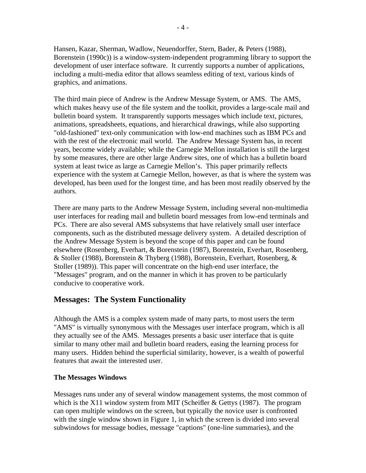Hansen, Kazar, Sherman, Wadlow, Neuendorffer, Stern, Bader, & Peters (1988), Borenstein (1990c)) is a window-system-independent programming library to support the development of user interface software. It currently supports a number of applications, including a multi-media editor that allows seamless editing of text, various kinds of graphics, and animations.

The third main piece of Andrew is the Andrew Message System, or AMS. The AMS, which makes heavy use of the file system and the toolkit, provides a large-scale mail and bulletin board system. It transparently supports messages which include text, pictures, animations, spreadsheets, equations, and hierarchical drawings, while also supporting "old-fashioned" text-only communication with low-end machines such as IBM PCs and with the rest of the electronic mail world. The Andrew Message System has, in recent years, become widely available; while the Carnegie Mellon installation is still the largest by some measures, there are other large Andrew sites, one of which has a bulletin board system at least twice as large as Carnegie Mellon's. This paper primarily reflects experience with the system at Carnegie Mellon, however, as that is where the system was developed, has been used for the longest time, and has been most readily observed by the authors.

There are many parts to the Andrew Message System, including several non-multimedia user interfaces for reading mail and bulletin board messages from low-end terminals and PCs. There are also several AMS subsystems that have relatively small user interface components, such as the distributed message delivery system. A detailed description of the Andrew Message System is beyond the scope of this paper and can be found elsewhere (Rosenberg, Everhart, & Borenstein (1987), Borenstein, Everhart, Rosenberg, & Stoller (1988), Borenstein & Thyberg (1988), Borenstein, Everhart, Rosenberg, & Stoller (1989)). This paper will concentrate on the high-end user interface, the "Messages" program, and on the manner in which it has proven to be particularly conducive to cooperative work.

# **Messages: The System Functionality**

Although the AMS is a complex system made of many parts, to most users the term "AMS" is virtually synonymous with the Messages user interface program, which is all they actually see of the AMS. Messages presents a basic user interface that is quite similar to many other mail and bulletin board readers, easing the learning process for many users. Hidden behind the superficial similarity, however, is a wealth of powerful features that await the interested user.

## **The Messages Windows**

Messages runs under any of several window management systems, the most common of which is the X11 window system from MIT (Scheifler  $& Gettys (1987)$ . The program can open multiple windows on the screen, but typically the novice user is confronted with the single window shown in Figure 1, in which the screen is divided into several subwindows for message bodies, message "captions" (one-line summaries), and the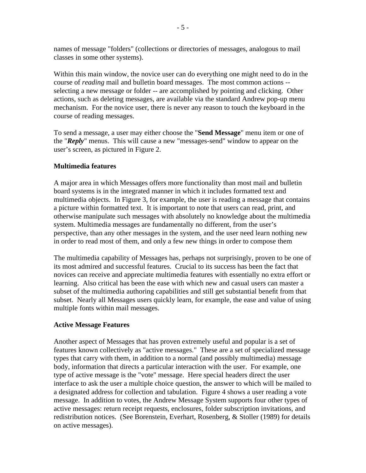names of message "folders" (collections or directories of messages, analogous to mail classes in some other systems).

Within this main window, the novice user can do everything one might need to do in the course of *reading* mail and bulletin board messages. The most common actions - selecting a new message or folder -- are accomplished by pointing and clicking. Other actions, such as deleting messages, are available via the standard Andrew pop-up menu mechanism. For the novice user, there is never any reason to touch the keyboard in the course of reading messages.

To send a message, a user may either choose the "**Send Message**" menu item or one of the "*Reply*" menus. This will cause a new "messages-send" window to appear on the user's screen, as pictured in Figure 2.

### **Multimedia features**

A major area in which Messages offers more functionality than most mail and bulletin board systems is in the integrated manner in which it includes formatted text and multimedia objects. In Figure 3, for example, the user is reading a message that contains a picture within formatted text. It is important to note that users can read, print, and otherwise manipulate such messages with absolutely no knowledge about the multimedia system. Multimedia messages are fundamentally no different, from the user's perspective, than any other messages in the system, and the user need learn nothing new in order to read most of them, and only a few new things in order to compose them

The multimedia capability of Messages has, perhaps not surprisingly, proven to be one of its most admired and successful features. Crucial to its success has been the fact that novices can receive and appreciate multimedia features with essentially no extra effort or learning. Also critical has been the ease with which new and casual users can master a subset of the multimedia authoring capabilities and still get substantial benefit from that subset. Nearly all Messages users quickly learn, for example, the ease and value of using multiple fonts within mail messages.

### **Active Message Features**

Another aspect of Messages that has proven extremely useful and popular is a set of features known collectively as "active messages." These are a set of specialized message types that carry with them, in addition to a normal (and possibly multimedia) message body, information that directs a particular interaction with the user. For example, one type of active message is the "vote" message. Here special headers direct the user interface to ask the user a multiple choice question, the answer to which will be mailed to a designated address for collection and tabulation. Figure 4 shows a user reading a vote message. In addition to votes, the Andrew Message System supports four other types of active messages: return receipt requests, enclosures, folder subscription invitations, and redistribution notices. (See Borenstein, Everhart, Rosenberg, & Stoller (1989) for details on active messages).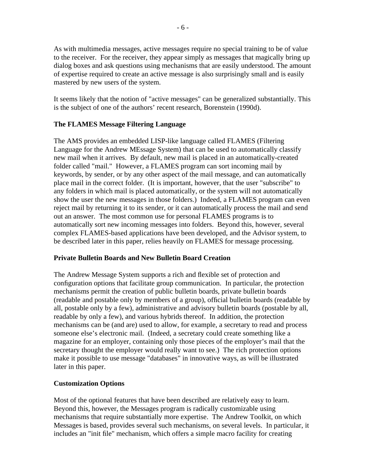As with multimedia messages, active messages require no special training to be of value to the receiver. For the receiver, they appear simply as messages that magically bring up dialog boxes and ask questions using mechanisms that are easily understood. The amount of expertise required to create an active message is also surprisingly small and is easily mastered by new users of the system.

It seems likely that the notion of "active messages" can be generalized substantially. This is the subject of one of the authors' recent research, Borenstein (1990d).

## **The FLAMES Message Filtering Language**

The AMS provides an embedded LISP-like language called FLAMES (Filtering Language for the Andrew MEssage System) that can be used to automatically classify new mail when it arrives. By default, new mail is placed in an automatically-created folder called "mail." However, a FLAMES program can sort incoming mail by keywords, by sender, or by any other aspect of the mail message, and can automatically place mail in the correct folder. (It is important, however, that the user "subscribe" to any folders in which mail is placed automatically, or the system will not automatically show the user the new messages in those folders.) Indeed, a FLAMES program can even reject mail by returning it to its sender, or it can automatically process the mail and send out an answer. The most common use for personal FLAMES programs is to automatically sort new incoming messages into folders. Beyond this, however, several complex FLAMES-based applications have been developed, and the Advisor system, to be described later in this paper, relies heavily on FLAMES for message processing.

### **Private Bulletin Boards and New Bulletin Board Creation**

The Andrew Message System supports a rich and flexible set of protection and configuration options that facilitate group communication. In particular, the protection mechanisms permit the creation of public bulletin boards, private bulletin boards (readable and postable only by members of a group), official bulletin boards (readable by all, postable only by a few), administrative and advisory bulletin boards (postable by all, readable by only a few), and various hybrids thereof. In addition, the protection mechanisms can be (and are) used to allow, for example, a secretary to read and process someone else's electronic mail. (Indeed, a secretary could create something like a magazine for an employer, containing only those pieces of the employer's mail that the secretary thought the employer would really want to see.) The rich protection options make it possible to use message "databases" in innovative ways, as will be illustrated later in this paper.

## **Customization Options**

Most of the optional features that have been described are relatively easy to learn. Beyond this, however, the Messages program is radically customizable using mechanisms that require substantially more expertise. The Andrew Toolkit, on which Messages is based, provides several such mechanisms, on several levels. In particular, it includes an "init file" mechanism, which offers a simple macro facility for creating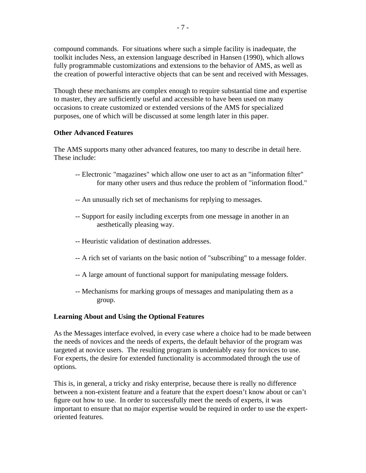compound commands. For situations where such a simple facility is inadequate, the toolkit includes Ness, an extension language described in Hansen (1990), which allows fully programmable customizations and extensions to the behavior of AMS, as well as the creation of powerful interactive objects that can be sent and received with Messages.

Though these mechanisms are complex enough to require substantial time and expertise to master, they are sufficiently useful and accessible to have been used on many occasions to create customized or extended versions of the AMS for specialized purposes, one of which will be discussed at some length later in this paper.

## **Other Advanced Features**

The AMS supports many other advanced features, too many to describe in detail here. These include:

- -- Electronic "magazines" which allow one user to act as an "information filter" for many other users and thus reduce the problem of "information flood."
- -- An unusually rich set of mechanisms for replying to messages.
- -- Support for easily including excerpts from one message in another in an aesthetically pleasing way.
- -- Heuristic validation of destination addresses.
- -- A rich set of variants on the basic notion of "subscribing" to a message folder.
- -- A large amount of functional support for manipulating message folders.
- -- Mechanisms for marking groups of messages and manipulating them as a group.

## **Learning About and Using the Optional Features**

As the Messages interface evolved, in every case where a choice had to be made between the needs of novices and the needs of experts, the default behavior of the program was targeted at novice users. The resulting program is undeniably easy for novices to use. For experts, the desire for extended functionality is accommodated through the use of options.

This is, in general, a tricky and risky enterprise, because there is really no difference between a non-existent feature and a feature that the expert doesn't know about or can't figure out how to use. In order to successfully meet the needs of experts, it was important to ensure that no major expertise would be required in order to use the expertoriented features.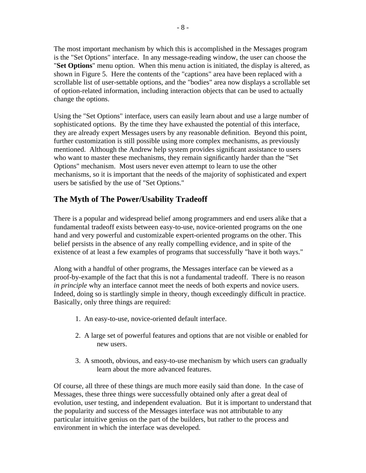The most important mechanism by which this is accomplished in the Messages program is the "Set Options" interface. In any message-reading window, the user can choose the "**Set Options**" menu option. When this menu action is initiated, the display is altered, as shown in Figure 5. Here the contents of the "captions" area have been replaced with a scrollable list of user-settable options, and the "bodies" area now displays a scrollable set of option-related information, including interaction objects that can be used to actually change the options.

Using the "Set Options" interface, users can easily learn about and use a large number of sophisticated options. By the time they have exhausted the potential of this interface, they are already expert Messages users by any reasonable definition. Beyond this point, further customization is still possible using more complex mechanisms, as previously mentioned. Although the Andrew help system provides significant assistance to users who want to master these mechanisms, they remain significantly harder than the "Set Options" mechanism. Most users never even attempt to learn to use the other mechanisms, so it is important that the needs of the majority of sophisticated and expert users be satisfied by the use of "Set Options."

# **The Myth of The Power/Usability Tradeoff**

There is a popular and widespread belief among programmers and end users alike that a fundamental tradeoff exists between easy-to-use, novice-oriented programs on the one hand and very powerful and customizable expert-oriented programs on the other. This belief persists in the absence of any really compelling evidence, and in spite of the existence of at least a few examples of programs that successfully "have it both ways."

Along with a handful of other programs, the Messages interface can be viewed as a proof-by-example of the fact that this is not a fundamental tradeoff. There is no reason *in principle* why an interface cannot meet the needs of both experts and novice users. Indeed, doing so is startlingly simple in theory, though exceedingly difficult in practice. Basically, only three things are required:

- 1. An easy-to-use, novice-oriented default interface.
- 2. A large set of powerful features and options that are not visible or enabled for new users.
- 3. A smooth, obvious, and easy-to-use mechanism by which users can gradually learn about the more advanced features.

Of course, all three of these things are much more easily said than done. In the case of Messages, these three things were successfully obtained only after a great deal of evolution, user testing, and independent evaluation. But it is important to understand that the popularity and success of the Messages interface was not attributable to any particular intuitive genius on the part of the builders, but rather to the process and environment in which the interface was developed.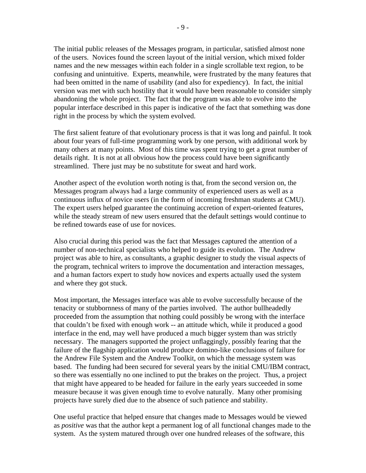The initial public releases of the Messages program, in particular, satisfied almost none of the users. Novices found the screen layout of the initial version, which mixed folder names and the new messages within each folder in a single scrollable text region, to be confusing and unintuitive. Experts, meanwhile, were frustrated by the many features that had been omitted in the name of usability (and also for expediency). In fact, the initial version was met with such hostility that it would have been reasonable to consider simply abandoning the whole project. The fact that the program was able to evolve into the popular interface described in this paper is indicative of the fact that something was done right in the process by which the system evolved.

The first salient feature of that evolutionary process is that it was long and painful. It took about four years of full-time programming work by one person, with additional work by many others at many points. Most of this time was spent trying to get a great number of details right. It is not at all obvious how the process could have been significantly streamlined. There just may be no substitute for sweat and hard work.

Another aspect of the evolution worth noting is that, from the second version on, the Messages program always had a large community of experienced users as well as a continuous influx of novice users (in the form of incoming freshman students at CMU). The expert users helped guarantee the continuing accretion of expert-oriented features, while the steady stream of new users ensured that the default settings would continue to be refined towards ease of use for novices.

Also crucial during this period was the fact that Messages captured the attention of a number of non-technical specialists who helped to guide its evolution. The Andrew project was able to hire, as consultants, a graphic designer to study the visual aspects of the program, technical writers to improve the documentation and interaction messages, and a human factors expert to study how novices and experts actually used the system and where they got stuck.

Most important, the Messages interface was able to evolve successfully because of the tenacity or stubbornness of many of the parties involved. The author bullheadedly proceeded from the assumption that nothing could possibly be wrong with the interface that couldn't be fixed with enough work -- an attitude which, while it produced a good interface in the end, may well have produced a much bigger system than was strictly necessary. The managers supported the project unflaggingly, possibly fearing that the failure of the flagship application would produce domino-like conclusions of failure for the Andrew File System and the Andrew Toolkit, on which the message system was based. The funding had been secured for several years by the initial CMU/IBM contract, so there was essentially no one inclined to put the brakes on the project. Thus, a project that might have appeared to be headed for failure in the early years succeeded in some measure because it was given enough time to evolve naturally. Many other promising projects have surely died due to the absence of such patience and stability.

One useful practice that helped ensure that changes made to Messages would be viewed as *positive* was that the author kept a permanent log of all functional changes made to the system. As the system matured through over one hundred releases of the software, this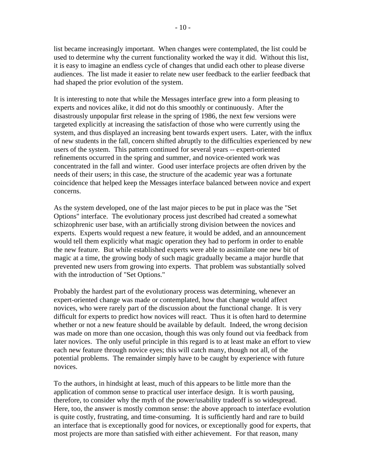list became increasingly important. When changes were contemplated, the list could be used to determine why the current functionality worked the way it did. Without this list, it is easy to imagine an endless cycle of changes that undid each other to please diverse audiences. The list made it easier to relate new user feedback to the earlier feedback that had shaped the prior evolution of the system.

It is interesting to note that while the Messages interface grew into a form pleasing to experts and novices alike, it did not do this smoothly or continuously. After the disastrously unpopular first release in the spring of 1986, the next few versions were targeted explicitly at increasing the satisfaction of those who were currently using the system, and thus displayed an increasing bent towards expert users. Later, with the influx of new students in the fall, concern shifted abruptly to the difficulties experienced by new users of the system. This pattern continued for several years -- expert-oriented refinements occurred in the spring and summer, and novice-oriented work was concentrated in the fall and winter. Good user interface projects are often driven by the needs of their users; in this case, the structure of the academic year was a fortunate coincidence that helped keep the Messages interface balanced between novice and expert concerns.

As the system developed, one of the last major pieces to be put in place was the "Set Options" interface. The evolutionary process just described had created a somewhat schizophrenic user base, with an artificially strong division between the novices and experts. Experts would request a new feature, it would be added, and an announcement would tell them explicitly what magic operation they had to perform in order to enable the new feature. But while established experts were able to assimilate one new bit of magic at a time, the growing body of such magic gradually became a major hurdle that prevented new users from growing into experts. That problem was substantially solved with the introduction of "Set Options."

Probably the hardest part of the evolutionary process was determining, whenever an expert-oriented change was made or contemplated, how that change would affect novices, who were rarely part of the discussion about the functional change. It is very difficult for experts to predict how novices will react. Thus it is often hard to determine whether or not a new feature should be available by default. Indeed, the wrong decision was made on more than one occasion, though this was only found out via feedback from later novices. The only useful principle in this regard is to at least make an effort to view each new feature through novice eyes; this will catch many, though not all, of the potential problems. The remainder simply have to be caught by experience with future novices.

To the authors, in hindsight at least, much of this appears to be little more than the application of common sense to practical user interface design. It is worth pausing, therefore, to consider why the myth of the power/usability tradeoff is so widespread. Here, too, the answer is mostly common sense: the above approach to interface evolution is quite costly, frustrating, and time-consuming. It is sufficiently hard and rare to build an interface that is exceptionally good for novices, or exceptionally good for experts, that most projects are more than satisfied with either achievement. For that reason, many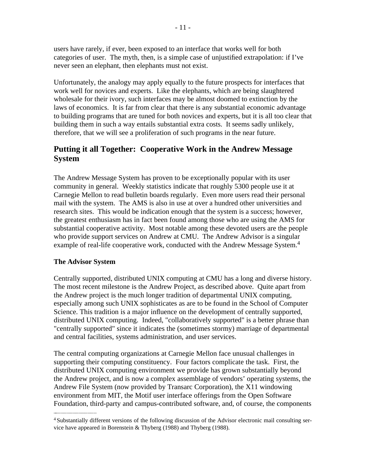users have rarely, if ever, been exposed to an interface that works well for both categories of user. The myth, then, is a simple case of unjustified extrapolation: if I've never seen an elephant, then elephants must not exist.

Unfortunately, the analogy may apply equally to the future prospects for interfaces that work well for novices and experts. Like the elephants, which are being slaughtered wholesale for their ivory, such interfaces may be almost doomed to extinction by the laws of economics. It is far from clear that there is any substantial economic advantage to building programs that are tuned for both novices and experts, but it is all too clear that building them in such a way entails substantial extra costs. It seems sadly unlikely, therefore, that we will see a proliferation of such programs in the near future.

# **Putting it all Together: Cooperative Work in the Andrew Message System**

The Andrew Message System has proven to be exceptionally popular with its user community in general. Weekly statistics indicate that roughly 5300 people use it at Carnegie Mellon to read bulletin boards regularly. Even more users read their personal mail with the system. The AMS is also in use at over a hundred other universities and research sites. This would be indication enough that the system is a success; however, the greatest enthusiasm has in fact been found among those who are using the AMS for substantial cooperative activity. Most notable among these devoted users are the people who provide support services on Andrew at CMU. The Andrew Advisor is a singular example of real-life cooperative work, conducted with the Andrew Message System.<sup>4</sup>

### **The Advisor System**

Centrally supported, distributed UNIX computing at CMU has a long and diverse history. The most recent milestone is the Andrew Project, as described above. Quite apart from the Andrew project is the much longer tradition of departmental UNIX computing, especially among such UNIX sophisticates as are to be found in the School of Computer Science. This tradition is a major influence on the development of centrally supported, distributed UNIX computing. Indeed, "collaboratively supported" is a better phrase than "centrally supported" since it indicates the (sometimes stormy) marriage of departmental and central facilities, systems administration, and user services.

The central computing organizations at Carnegie Mellon face unusual challenges in supporting their computing constituency. Four factors complicate the task. First, the distributed UNIX computing environment we provide has grown substantially beyond the Andrew project, and is now a complex assemblage of vendors' operating systems, the Andrew File System (now provided by Transarc Corporation), the X11 windowing environment from MIT, the Motif user interface offerings from the Open Software Foundation, third-party and campus-contributed software, and, of course, the components

<sup>4</sup> Substantially different versions of the following discussion of the Advisor electronic mail consulting service have appeared in Borenstein & Thyberg (1988) and Thyberg (1988).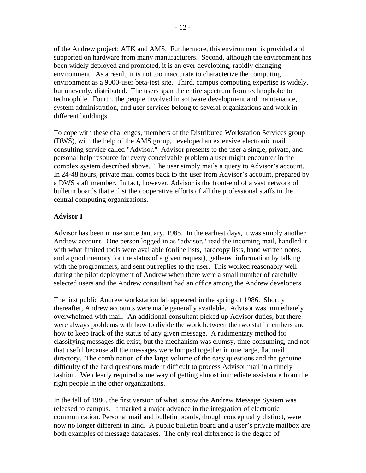of the Andrew project: ATK and AMS. Furthermore, this environment is provided and supported on hardware from many manufacturers. Second, although the environment has been widely deployed and promoted, it is an ever developing, rapidly changing environment. As a result, it is not too inaccurate to characterize the computing environment as a 9000-user beta-test site. Third, campus computing expertise is widely, but unevenly, distributed. The users span the entire spectrum from technophobe to technophile. Fourth, the people involved in software development and maintenance, system administration, and user services belong to several organizations and work in different buildings.

To cope with these challenges, members of the Distributed Workstation Services group (DWS), with the help of the AMS group, developed an extensive electronic mail consulting service called "Advisor." Advisor presents to the user a single, private, and personal help resource for every conceivable problem a user might encounter in the complex system described above. The user simply mails a query to Advisor's account. In 24-48 hours, private mail comes back to the user from Advisor's account, prepared by a DWS staff member. In fact, however, Advisor is the front-end of a vast network of bulletin boards that enlist the cooperative efforts of all the professional staffs in the central computing organizations.

## **Advisor I**

Advisor has been in use since January, 1985. In the earliest days, it was simply another Andrew account. One person logged in as "advisor," read the incoming mail, handled it with what limited tools were available (online lists, hardcopy lists, hand written notes, and a good memory for the status of a given request), gathered information by talking with the programmers, and sent out replies to the user. This worked reasonably well during the pilot deployment of Andrew when there were a small number of carefully selected users and the Andrew consultant had an office among the Andrew developers.

The first public Andrew workstation lab appeared in the spring of 1986. Shortly thereafter, Andrew accounts were made generally available. Advisor was immediately overwhelmed with mail. An additional consultant picked up Advisor duties, but there were always problems with how to divide the work between the two staff members and how to keep track of the status of any given message. A rudimentary method for classifying messages did exist, but the mechanism was clumsy, time-consuming, and not that useful because all the messages were lumped together in one large, flat mail directory. The combination of the large volume of the easy questions and the genuine difficulty of the hard questions made it difficult to process Advisor mail in a timely fashion. We clearly required some way of getting almost immediate assistance from the right people in the other organizations.

In the fall of 1986, the first version of what is now the Andrew Message System was released to campus. It marked a major advance in the integration of electronic communication. Personal mail and bulletin boards, though conceptually distinct, were now no longer different in kind. A public bulletin board and a user's private mailbox are both examples of message databases. The only real difference is the degree of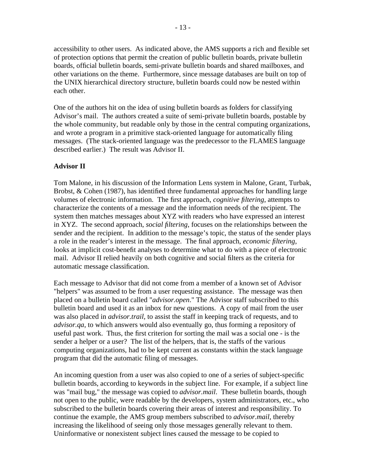accessibility to other users. As indicated above, the AMS supports a rich and flexible set of protection options that permit the creation of public bulletin boards, private bulletin boards, official bulletin boards, semi-private bulletin boards and shared mailboxes, and other variations on the theme. Furthermore, since message databases are built on top of the UNIX hierarchical directory structure, bulletin boards could now be nested within each other.

One of the authors hit on the idea of using bulletin boards as folders for classifying Advisor's mail. The authors created a suite of semi-private bulletin boards, postable by the whole community, but readable only by those in the central computing organizations, and wrote a program in a primitive stack-oriented language for automatically filing messages. (The stack-oriented language was the predecessor to the FLAMES language described earlier.) The result was Advisor II.

## **Advisor II**

Tom Malone, in his discussion of the Information Lens system in Malone, Grant, Turbak, Brobst, & Cohen (1987), has identified three fundamental approaches for handling large volumes of electronic information. The first approach, *cognitive filtering*, attempts to characterize the contents of a message and the information needs of the recipient. The system then matches messages about XYZ with readers who have expressed an interest in XYZ. The second approach, *social filtering*, focuses on the relationships between the sender and the recipient. In addition to the message's topic, the status of the sender plays a role in the reader's interest in the message. The final approach, *economic filtering*, looks at implicit cost-benefit analyses to determine what to do with a piece of electronic mail. Advisor II relied heavily on both cognitive and social filters as the criteria for automatic message classification.

Each message to Advisor that did not come from a member of a known set of Advisor "helpers" was assumed to be from a user requesting assistance. The message was then placed on a bulletin board called "*advisor.open*." The Advisor staff subscribed to this bulletin board and used it as an inbox for new questions. A copy of mail from the user was also placed in *advisor.trail,* to assist the staff in keeping track of requests, and to *advisor.qa*, to which answers would also eventually go, thus forming a repository of useful past work. Thus, the first criterion for sorting the mail was a social one - is the sender a helper or a user? The list of the helpers, that is, the staffs of the various computing organizations, had to be kept current as constants within the stack language program that did the automatic filing of messages.

An incoming question from a user was also copied to one of a series of subject-specific bulletin boards, according to keywords in the subject line. For example, if a subject line was "mail bug," the message was copied to *advisor.mail*. These bulletin boards, though not open to the public, were readable by the developers, system administrators, etc., who subscribed to the bulletin boards covering their areas of interest and responsibility. To continue the example, the AMS group members subscribed to *advisor.mail*, thereby increasing the likelihood of seeing only those messages generally relevant to them. Uninformative or nonexistent subject lines caused the message to be copied to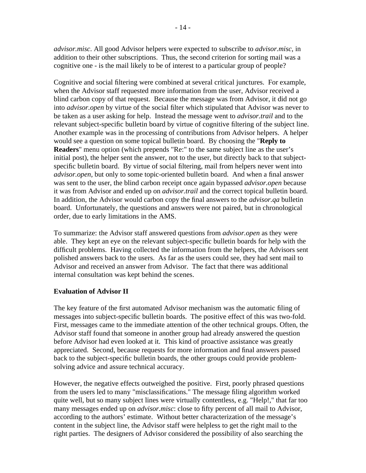*advisor.misc*. All good Advisor helpers were expected to subscribe to *advisor.misc*, in addition to their other subscriptions. Thus, the second criterion for sorting mail was a cognitive one - is the mail likely to be of interest to a particular group of people?

Cognitive and social filtering were combined at several critical junctures. For example, when the Advisor staff requested more information from the user, Advisor received a blind carbon copy of that request. Because the message was from Advisor, it did not go into *advisor.open* by virtue of the social filter which stipulated that Advisor was never to be taken as a user asking for help. Instead the message went to *advisor.trail* and to the relevant subject-specific bulletin board by virtue of cognitive filtering of the subject line. Another example was in the processing of contributions from Advisor helpers. A helper would see a question on some topical bulletin board. By choosing the "**Reply to Readers**" menu option (which prepends "Re:" to the same subject line as the user's initial post), the helper sent the answer, not to the user, but directly back to that subjectspecific bulletin board. By virtue of social filtering, mail from helpers never went into *advisor.open*, but only to some topic-oriented bulletin board. And when a final answer was sent to the user, the blind carbon receipt once again bypassed *advisor.open* because it was from Advisor and ended up on *advisor.trail* and the correct topical bulletin board. In addition, the Advisor would carbon copy the final answers to the *advisor.qa* bulletin board. Unfortunately, the questions and answers were not paired, but in chronological order, due to early limitations in the AMS.

To summarize: the Advisor staff answered questions from *advisor.open* as they were able. They kept an eye on the relevant subject-specific bulletin boards for help with the difficult problems. Having collected the information from the helpers, the Advisors sent polished answers back to the users. As far as the users could see, they had sent mail to Advisor and received an answer from Advisor. The fact that there was additional internal consultation was kept behind the scenes.

### **Evaluation of Advisor II**

The key feature of the first automated Advisor mechanism was the automatic filing of messages into subject-specific bulletin boards. The positive effect of this was two-fold. First, messages came to the immediate attention of the other technical groups. Often, the Advisor staff found that someone in another group had already answered the question before Advisor had even looked at it. This kind of proactive assistance was greatly appreciated. Second, because requests for more information and final answers passed back to the subject-specific bulletin boards, the other groups could provide problemsolving advice and assure technical accuracy.

However, the negative effects outweighed the positive. First, poorly phrased questions from the users led to many "misclassifications." The message filing algorithm worked quite well, but so many subject lines were virtually contentless, e.g. "Help!," that far too many messages ended up on *advisor.misc*: close to fifty percent of all mail to Advisor, according to the authors' estimate. Without better characterization of the message's content in the subject line, the Advisor staff were helpless to get the right mail to the right parties. The designers of Advisor considered the possibility of also searching the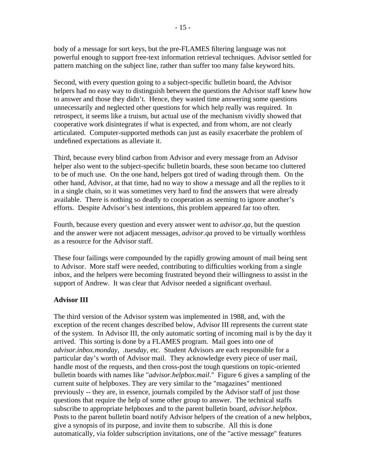body of a message for sort keys, but the pre-FLAMES filtering language was not powerful enough to support free-text information retrieval techniques. Advisor settled for pattern matching on the subject line, rather than suffer too many false keyword hits.

Second, with every question going to a subject-specific bulletin board, the Advisor helpers had no easy way to distinguish between the questions the Advisor staff knew how to answer and those they didn't. Hence, they wasted time answering some questions unnecessarily and neglected other questions for which help really was required. In retrospect, it seems like a truism, but actual use of the mechanism vividly showed that cooperative work disintegrates if what is expected, and from whom, are not clearly articulated. Computer-supported methods can just as easily exacerbate the problem of undefined expectations as alleviate it.

Third, because every blind carbon from Advisor and every message from an Advisor helper also went to the subject-specific bulletin boards, these soon became too cluttered to be of much use. On the one hand, helpers got tired of wading through them. On the other hand, Advisor, at that time, had no way to show a message and all the replies to it in a single chain, so it was sometimes very hard to find the answers that were already available. There is nothing so deadly to cooperation as seeming to ignore another's efforts. Despite Advisor's best intentions, this problem appeared far too often.

Fourth, because every question and every answer went to *advisor.qa*, but the question and the answer were not adjacent messages, *advisor.qa* proved to be virtually worthless as a resource for the Advisor staff.

These four failings were compounded by the rapidly growing amount of mail being sent to Advisor. More staff were needed, contributing to difficulties working from a single inbox, and the helpers were becoming frustrated beyond their willingness to assist in the support of Andrew. It was clear that Advisor needed a significant overhaul.

### **Advisor III**

The third version of the Advisor system was implemented in 1988, and, with the exception of the recent changes described below, Advisor III represents the current state of the system. In Advisor III, the only automatic sorting of incoming mail is by the day it arrived. This sorting is done by a FLAMES program. Mail goes into one of *advisor.inbox.monday*, *.tuesday*, etc. Student Advisors are each responsible for a particular day's worth of Advisor mail. They acknowledge every piece of user mail, handle most of the requests, and then cross-post the tough questions on topic-oriented bulletin boards with names like "*advisor.helpbox.mail*." Figure 6 gives a sampling of the current suite of helpboxes. They are very similar to the "magazines" mentioned previously -- they are, in essence, journals compiled by the Advisor staff of just those questions that require the help of some other group to answer. The technical staffs subscribe to appropriate helpboxes and to the parent bulletin board, *advisor.helpbox*. Posts to the parent bulletin board notify Advisor helpers of the creation of a new helpbox, give a synopsis of its purpose, and invite them to subscribe. All this is done automatically, via folder subscription invitations, one of the "active message" features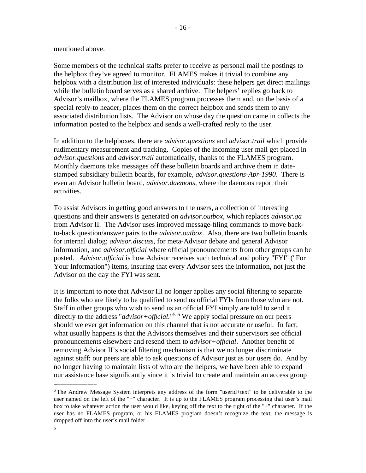#### mentioned above.

Some members of the technical staffs prefer to receive as personal mail the postings to the helpbox they've agreed to monitor. FLAMES makes it trivial to combine any helpbox with a distribution list of interested individuals: these helpers get direct mailings while the bulletin board serves as a shared archive. The helpers' replies go back to Advisor's mailbox, where the FLAMES program processes them and, on the basis of a special reply-to header, places them on the correct helpbox and sends them to any associated distribution lists. The Advisor on whose day the question came in collects the information posted to the helpbox and sends a well-crafted reply to the user.

In addition to the helpboxes, there are *advisor.questions* and *advisor.trail* which provide rudimentary measurement and tracking. Copies of the incoming user mail get placed in *advisor.questions* and *advisor.trail* automatically, thanks to the FLAMES program. Monthly daemons take messages off these bulletin boards and archive them in datestamped subsidiary bulletin boards, for example, *advisor.questions-Apr-1990*. There is even an Advisor bulletin board, *advisor.daemons*, where the daemons report their activities.

To assist Advisors in getting good answers to the users, a collection of interesting questions and their answers is generated on *advisor.outbox*, which replaces *advisor.qa* from Advisor II. The Advisor uses improved message-filing commands to move backto-back question/answer pairs to the *advisor.outbox*. Also, there are two bulletin boards for internal dialog; *advisor.discuss*, for meta-Advisor debate and general Advisor information, and *advisor.official* where official pronouncements from other groups can be posted. *Advisor.official* is how Advisor receives such technical and policy "FYI" ("For Your Information") items, insuring that every Advisor sees the information, not just the Advisor on the day the FYI was sent.

It is important to note that Advisor III no longer applies any social filtering to separate the folks who are likely to be qualified to send us official FYIs from those who are not. Staff in other groups who wish to send us an official FYI simply are told to send it directly to the address "*advisor+official.*"5 6 We apply social pressure on our peers should we ever get information on this channel that is not accurate or useful. In fact, what usually happens is that the Advisors themselves and their supervisors see official pronouncements elsewhere and resend them to *advisor+official*. Another benefit of removing Advisor II's social filtering mechanism is that we no longer discriminate against staff; our peers are able to ask questions of Advisor just as our users do. And by no longer having to maintain lists of who are the helpers, we have been able to expand our assistance base significantly since it is trivial to create and maintain an access group

 $<sup>5</sup>$ The Andrew Message System interprets any address of the form "userid+text" to be deliverable to the</sup> user named on the left of the "+" character. It is up to the FLAMES program processing that user's mail box to take whatever action the user would like, keying off the text to the right of the "+" character. If the user has no FLAMES program, or his FLAMES program doesn't recognize the text, the message is dropped off into the user's mail folder.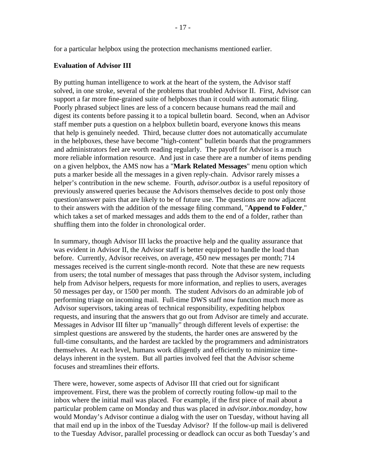for a particular helpbox using the protection mechanisms mentioned earlier.

#### **Evaluation of Advisor III**

By putting human intelligence to work at the heart of the system, the Advisor staff solved, in one stroke, several of the problems that troubled Advisor II. First, Advisor can support a far more fine-grained suite of helpboxes than it could with automatic filing. Poorly phrased subject lines are less of a concern because humans read the mail and digest its contents before passing it to a topical bulletin board. Second, when an Advisor staff member puts a question on a helpbox bulletin board, everyone knows this means that help is genuinely needed. Third, because clutter does not automatically accumulate in the helpboxes, these have become "high-content" bulletin boards that the programmers and administrators feel are worth reading regularly. The payoff for Advisor is a much more reliable information resource. And just in case there are a number of items pending on a given helpbox, the AMS now has a "**Mark Related Messages**" menu option which puts a marker beside all the messages in a given reply-chain. Advisor rarely misses a helper's contribution in the new scheme. Fourth, *advisor.outbox* is a useful repository of previously answered queries because the Advisors themselves decide to post only those question/answer pairs that are likely to be of future use. The questions are now adjacent to their answers with the addition of the message filing command, "**Append to Folder**," which takes a set of marked messages and adds them to the end of a folder, rather than shuffling them into the folder in chronological order.

In summary, though Advisor III lacks the proactive help and the quality assurance that was evident in Advisor II, the Advisor staff is better equipped to handle the load than before. Currently, Advisor receives, on average, 450 new messages per month; 714 messages received is the current single-month record. Note that these are new requests from users; the total number of messages that pass through the Advisor system, including help from Advisor helpers, requests for more information, and replies to users, averages 50 messages per day, or 1500 per month. The student Advisors do an admirable job of performing triage on incoming mail. Full-time DWS staff now function much more as Advisor supervisors, taking areas of technical responsibility, expediting helpbox requests, and insuring that the answers that go out from Advisor are timely and accurate. Messages in Advisor III filter up "manually" through different levels of expertise: the simplest questions are answered by the students, the harder ones are answered by the full-time consultants, and the hardest are tackled by the programmers and administrators themselves. At each level, humans work diligently and efficiently to minimize timedelays inherent in the system. But all parties involved feel that the Advisor scheme focuses and streamlines their efforts.

There were, however, some aspects of Advisor III that cried out for significant improvement. First, there was the problem of correctly routing follow-up mail to the inbox where the initial mail was placed. For example, if the first piece of mail about a particular problem came on Monday and thus was placed in *advisor.inbox.monday*, how would Monday's Advisor continue a dialog with the user on Tuesday, without having all that mail end up in the inbox of the Tuesday Advisor? If the follow-up mail is delivered to the Tuesday Advisor, parallel processing or deadlock can occur as both Tuesday's and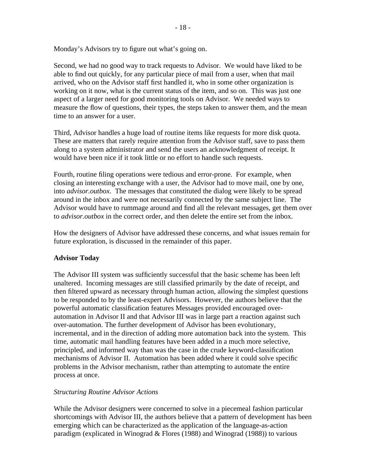Monday's Advisors try to figure out what's going on.

Second, we had no good way to track requests to Advisor. We would have liked to be able to find out quickly, for any particular piece of mail from a user, when that mail arrived, who on the Advisor staff first handled it, who in some other organization is working on it now, what is the current status of the item, and so on. This was just one aspect of a larger need for good monitoring tools on Advisor. We needed ways to measure the flow of questions, their types, the steps taken to answer them, and the mean time to an answer for a user.

Third, Advisor handles a huge load of routine items like requests for more disk quota. These are matters that rarely require attention from the Advisor staff, save to pass them along to a system administrator and send the users an acknowledgment of receipt. It would have been nice if it took little or no effort to handle such requests.

Fourth, routine filing operations were tedious and error-prone. For example, when closing an interesting exchange with a user, the Advisor had to move mail, one by one, into *advisor.outbox*. The messages that constituted the dialog were likely to be spread around in the inbox and were not necessarily connected by the same subject line. The Advisor would have to rummage around and find all the relevant messages, get them over to *advisor.outbox* in the correct order, and then delete the entire set from the inbox.

How the designers of Advisor have addressed these concerns, and what issues remain for future exploration, is discussed in the remainder of this paper.

## **Advisor Today**

The Advisor III system was sufficiently successful that the basic scheme has been left unaltered. Incoming messages are still classified primarily by the date of receipt, and then filtered upward as necessary through human action, allowing the simplest questions to be responded to by the least-expert Advisors. However, the authors believe that the powerful automatic classification features Messages provided encouraged overautomation in Advisor II and that Advisor III was in large part a reaction against such over-automation. The further development of Advisor has been evolutionary, incremental, and in the direction of adding more automation back into the system. This time, automatic mail handling features have been added in a much more selective, principled, and informed way than was the case in the crude keyword-classification mechanisms of Advisor II. Automation has been added where it could solve specific problems in the Advisor mechanism, rather than attempting to automate the entire process at once.

### *Structuring Routine Advisor Actions*

While the Advisor designers were concerned to solve in a piecemeal fashion particular shortcomings with Advisor III, the authors believe that a pattern of development has been emerging which can be characterized as the application of the language-as-action paradigm (explicated in Winograd & Flores (1988) and Winograd (1988)) to various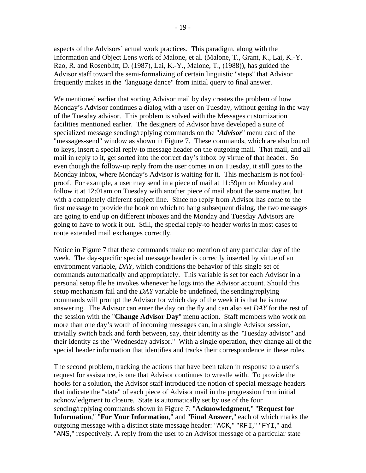aspects of the Advisors' actual work practices. This paradigm, along with the Information and Object Lens work of Malone, et al. (Malone, T., Grant, K., Lai, K.-Y. Rao, R. and Rosenblitt, D. (1987), Lai, K.-Y., Malone, T., (1988)), has guided the Advisor staff toward the semi-formalizing of certain linguistic "steps" that Advisor frequently makes in the "language dance" from initial query to final answer.

We mentioned earlier that sorting Advisor mail by day creates the problem of how Monday's Advisor continues a dialog with a user on Tuesday, without getting in the way of the Tuesday advisor. This problem is solved with the Messages customization facilities mentioned earlier. The designers of Advisor have developed a suite of specialized message sending/replying commands on the "*Advisor*" menu card of the "messages-send" window as shown in Figure 7. These commands, which are also bound to keys, insert a special reply-to message header on the outgoing mail. That mail, and all mail in reply to it, get sorted into the correct day's inbox by virtue of that header. So even though the follow-up reply from the user comes in on Tuesday, it still goes to the Monday inbox, where Monday's Advisor is waiting for it. This mechanism is not foolproof. For example, a user may send in a piece of mail at 11:59pm on Monday and follow it at 12:01am on Tuesday with another piece of mail about the same matter, but with a completely different subject line. Since no reply from Advisor has come to the first message to provide the hook on which to hang subsequent dialog, the two messages are going to end up on different inboxes and the Monday and Tuesday Advisors are going to have to work it out. Still, the special reply-to header works in most cases to route extended mail exchanges correctly.

Notice in Figure 7 that these commands make no mention of any particular day of the week. The day-specific special message header is correctly inserted by virtue of an environment variable, *DAY*, which conditions the behavior of this single set of commands automatically and appropriately. This variable is set for each Advisor in a personal setup file he invokes whenever he logs into the Advisor account. Should this setup mechanism fail and the *DAY* variable be undefined, the sending/replying commands will prompt the Advisor for which day of the week it is that he is now answering. The Advisor can enter the day on the fly and can also set *DAY* for the rest of the session with the "**Change Advisor Day**" menu action. Staff members who work on more than one day's worth of incoming messages can, in a single Advisor session, trivially switch back and forth between, say, their identity as the "Tuesday advisor" and their identity as the "Wednesday advisor." With a single operation, they change all of the special header information that identifies and tracks their correspondence in these roles.

The second problem, tracking the actions that have been taken in response to a user's request for assistance, is one that Advisor continues to wrestle with. To provide the hooks for a solution, the Advisor staff introduced the notion of special message headers that indicate the "state" of each piece of Advisor mail in the progression from initial acknowledgment to closure. State is automatically set by use of the four sending/replying commands shown in Figure 7: "**Acknowledgment**," "**Request for Information**," "**For Your Information**," and "**Final Answer**," each of which marks the outgoing message with a distinct state message header: "ACK," "RFI," "FYI," and "ANS," respectively. A reply from the user to an Advisor message of a particular state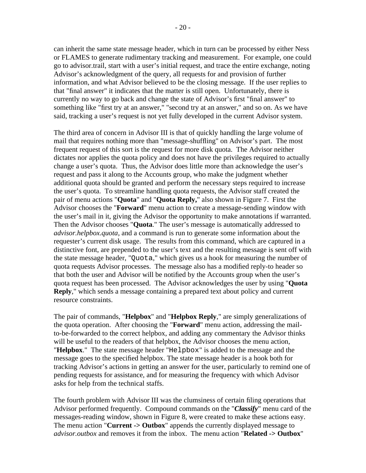can inherit the same state message header, which in turn can be processed by either Ness or FLAMES to generate rudimentary tracking and measurement. For example, one could go to advisor.trail, start with a user's initial request, and trace the entire exchange, noting Advisor's acknowledgment of the query, all requests for and provision of further information, and what Advisor believed to be the closing message. If the user replies to that "final answer" it indicates that the matter is still open. Unfortunately, there is currently no way to go back and change the state of Advisor's first "final answer" to something like "first try at an answer," "second try at an answer," and so on. As we have said, tracking a user's request is not yet fully developed in the current Advisor system.

The third area of concern in Advisor III is that of quickly handling the large volume of mail that requires nothing more than "message-shuffling" on Advisor's part. The most frequent request of this sort is the request for more disk quota. The Advisor neither dictates nor applies the quota policy and does not have the privileges required to actually change a user's quota. Thus, the Advisor does little more than acknowledge the user's request and pass it along to the Accounts group, who make the judgment whether additional quota should be granted and perform the necessary steps required to increase the user's quota. To streamline handling quota requests, the Advisor staff created the pair of menu actions "**Quota**" and "**Quota Reply,**" also shown in Figure 7. First the Advisor chooses the "**Forward**" menu action to create a message-sending window with the user's mail in it, giving the Advisor the opportunity to make annotations if warranted. Then the Advisor chooses "**Quota**." The user's message is automatically addressed to *advisor.helpbox.quota*, and a command is run to generate some information about the requester's current disk usage. The results from this command, which are captured in a distinctive font, are prepended to the user's text and the resulting message is sent off with the state message header, "Quota," which gives us a hook for measuring the number of quota requests Advisor processes. The message also has a modified reply-to header so that both the user and Advisor will be notified by the Accounts group when the user's quota request has been processed. The Advisor acknowledges the user by using "**Quota Reply**," which sends a message containing a prepared text about policy and current resource constraints.

The pair of commands, "**Helpbox**" and "**Helpbox Reply**," are simply generalizations of the quota operation. After choosing the "**Forward**" menu action, addressing the mailto-be-forwarded to the correct helpbox, and adding any commentary the Advisor thinks will be useful to the readers of that helpbox, the Advisor chooses the menu action, "**Helpbox**." The state message header "Helpbox" is added to the message and the message goes to the specified helpbox. The state message header is a hook both for tracking Advisor's actions in getting an answer for the user, particularly to remind one of pending requests for assistance, and for measuring the frequency with which Advisor asks for help from the technical staffs.

The fourth problem with Advisor III was the clumsiness of certain filing operations that Advisor performed frequently. Compound commands on the "*Classify*" menu card of the messages-reading window, shown in Figure 8, were created to make these actions easy. The menu action "**Current -> Outbox**" appends the currently displayed message to *advisor.outbox* and removes it from the inbox. The menu action "**Related -> Outbox**"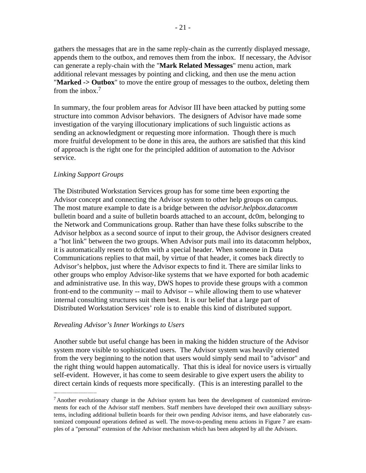gathers the messages that are in the same reply-chain as the currently displayed message, appends them to the outbox, and removes them from the inbox. If necessary, the Advisor can generate a reply-chain with the "**Mark Related Messages**" menu action, mark additional relevant messages by pointing and clicking, and then use the menu action "**Marked -> Outbox**" to move the entire group of messages to the outbox, deleting them from the inbox.<sup>7</sup>

In summary, the four problem areas for Advisor III have been attacked by putting some structure into common Advisor behaviors. The designers of Advisor have made some investigation of the varying illocutionary implications of such linguistic actions as sending an acknowledgment or requesting more information. Though there is much more fruitful development to be done in this area, the authors are satisfied that this kind of approach is the right one for the principled addition of automation to the Advisor service.

### *Linking Support Groups*

The Distributed Workstation Services group has for some time been exporting the Advisor concept and connecting the Advisor system to other help groups on campus. The most mature example to date is a bridge between the *advisor.helpbox.datacomm* bulletin board and a suite of bulletin boards attached to an account, dc0m, belonging to the Network and Communications group. Rather than have these folks subscribe to the Advisor helpbox as a second source of input to their group, the Advisor designers created a "hot link" between the two groups. When Advisor puts mail into its datacomm helpbox, it is automatically resent to dc0m with a special header. When someone in Data Communications replies to that mail, by virtue of that header, it comes back directly to Advisor's helpbox, just where the Advisor expects to find it. There are similar links to other groups who employ Advisor-like systems that we have exported for both academic and administrative use. In this way, DWS hopes to provide these groups with a common front-end to the community -- mail to Advisor -- while allowing them to use whatever internal consulting structures suit them best. It is our belief that a large part of Distributed Workstation Services' role is to enable this kind of distributed support.

### *Revealing Advisor's Inner Workings to Users*

Another subtle but useful change has been in making the hidden structure of the Advisor system more visible to sophisticated users. The Advisor system was heavily oriented from the very beginning to the notion that users would simply send mail to "advisor" and the right thing would happen automatically. That this is ideal for novice users is virtually self-evident. However, it has come to seem desirable to give expert users the ability to direct certain kinds of requests more specifically. (This is an interesting parallel to the

<sup>7</sup> Another evolutionary change in the Advisor system has been the development of customized environments for each of the Advisor staff members. Staff members have developed their own auxilliary subsystems, including additional bulletin boards for their own pending Advisor items, and have elaborately customized compound operations defined as well. The move-to-pending menu actions in Figure 7 are examples of a "personal" extension of the Advisor mechanism which has been adopted by all the Advisors.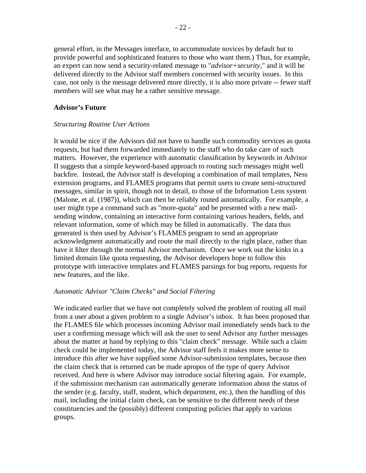general effort, in the Messages interface, to accommodate novices by default but to provide powerful and sophisticated features to those who want them.) Thus, for example, an expert can now send a security-related message to "*advisor+security*," and it will be delivered directly to the Advisor staff members concerned with security issues. In this case, not only is the message delivered more directly, it is also more private -- fewer staff members will see what may be a rather sensitive message.

#### **Advisor's Future**

#### *Structuring Routine User Actions*

It would be nice if the Advisors did not have to handle such commodity services as quota requests, but had them forwarded immediately to the staff who do take care of such matters. However, the experience with automatic classification by keywords in Advisor II suggests that a simple keyword-based approach to routing such messages might well backfire. Instead, the Advisor staff is developing a combination of mail templates, Ness extension programs, and FLAMES programs that permit users to create semi-structured messages, similar in spirit, though not in detail, to those of the Information Lens system (Malone, et al. (1987)), which can then be reliably routed automatically. For example, a user might type a command such as "more-quota" and be presented with a new mailsending window, containing an interactive form containing various headers, fields, and relevant information, some of which may be filled in automatically. The data thus generated is then used by Advisor's FLAMES program to send an appropriate acknowledgment automatically and route the mail directly to the right place, rather than have it filter through the normal Advisor mechanism. Once we work out the kinks in a limited domain like quota requesting, the Advisor developers hope to follow this prototype with interactive templates and FLAMES parsings for bug reports, requests for new features, and the like.

#### *Automatic Advisor "Claim Checks" and Social Filtering*

We indicated earlier that we have not completely solved the problem of routing all mail from a user about a given problem to a single Advisor's inbox. It has been proposed that the FLAMES file which processes incoming Advisor mail immediately sends back to the user a confirming message which will ask the user to send Advisor any further messages about the matter at hand by replying to this "claim check" message. While such a claim check could be implemented today, the Advisor staff feels it makes more sense to introduce this after we have supplied some Advisor-submission templates, because then the claim check that is returned can be made apropos of the type of query Advisor received. And here is where Advisor may introduce social filtering again. For example, if the submission mechanism can automatically generate information about the status of the sender (e.g. faculty, staff, student, which department, etc.), then the handling of this mail, including the initial claim check, can be sensitive to the different needs of these constituencies and the (possibly) different computing policies that apply to various groups.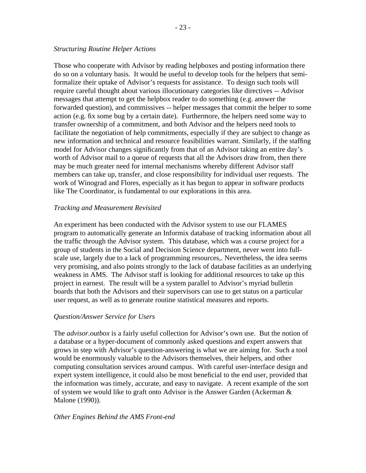#### *Structuring Routine Helper Actions*

Those who cooperate with Advisor by reading helpboxes and posting information there do so on a voluntary basis. It would be useful to develop tools for the helpers that semiformalize their uptake of Advisor's requests for assistance. To design such tools will require careful thought about various illocutionary categories like directives -- Advisor messages that attempt to get the helpbox reader to do something (e.g. answer the forwarded question), and commissives -- helper messages that commit the helper to some action (e.g. fix some bug by a certain date). Furthermore, the helpers need some way to transfer ownership of a commitment, and both Advisor and the helpers need tools to facilitate the negotiation of help commitments, especially if they are subject to change as new information and technical and resource feasibilities warrant. Similarly, if the staffing model for Advisor changes significantly from that of an Advisor taking an entire day's worth of Advisor mail to a queue of requests that all the Advisors draw from, then there may be much greater need for internal mechanisms whereby different Advisor staff members can take up, transfer, and close responsibility for individual user requests. The work of Winograd and Flores, especially as it has begun to appear in software products like The Coordinator, is fundamental to our explorations in this area.

### *Tracking and Measurement Revisited*

An experiment has been conducted with the Advisor system to use our FLAMES program to automatically generate an Informix database of tracking information about all the traffic through the Advisor system. This database, which was a course project for a group of students in the Social and Decision Science department, never went into fullscale use, largely due to a lack of programming resources,. Nevertheless, the idea seems very promising, and also points strongly to the lack of database facilities as an underlying weakness in AMS. The Advisor staff is looking for additional resources to take up this project in earnest. The result will be a system parallel to Advisor's myriad bulletin boards that both the Advisors and their supervisors can use to get status on a particular user request, as well as to generate routine statistical measures and reports.

### *Question/Answer Service for Users*

The *advisor.outbox* is a fairly useful collection for Advisor's own use. But the notion of a database or a hyper-document of commonly asked questions and expert answers that grows in step with Advisor's question-answering is what we are aiming for. Such a tool would be enormously valuable to the Advisors themselves, their helpers, and other computing consultation services around campus. With careful user-interface design and expert system intelligence, it could also be most beneficial to the end user, provided that the information was timely, accurate, and easy to navigate. A recent example of the sort of system we would like to graft onto Advisor is the Answer Garden (Ackerman & Malone (1990)).

#### *Other Engines Behind the AMS Front-end*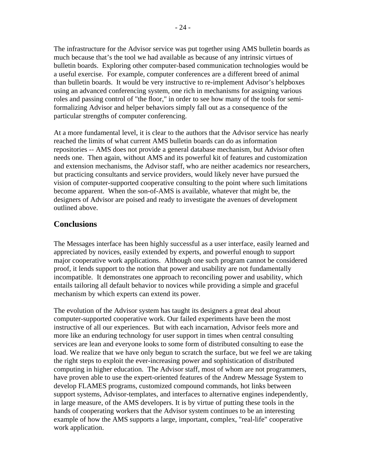The infrastructure for the Advisor service was put together using AMS bulletin boards as much because that's the tool we had available as because of any intrinsic virtues of bulletin boards. Exploring other computer-based communication technologies would be a useful exercise. For example, computer conferences are a different breed of animal than bulletin boards. It would be very instructive to re-implement Advisor's helpboxes using an advanced conferencing system, one rich in mechanisms for assigning various roles and passing control of "the floor," in order to see how many of the tools for semiformalizing Advisor and helper behaviors simply fall out as a consequence of the particular strengths of computer conferencing.

At a more fundamental level, it is clear to the authors that the Advisor service has nearly reached the limits of what current AMS bulletin boards can do as information repositories -- AMS does not provide a general database mechanism, but Advisor often needs one. Then again, without AMS and its powerful kit of features and customization and extension mechanisms, the Advisor staff, who are neither academics nor researchers, but practicing consultants and service providers, would likely never have pursued the vision of computer-supported cooperative consulting to the point where such limitations become apparent. When the son-of-AMS is available, whatever that might be, the designers of Advisor are poised and ready to investigate the avenues of development outlined above.

# **Conclusions**

The Messages interface has been highly successful as a user interface, easily learned and appreciated by novices, easily extended by experts, and powerful enough to support major cooperative work applications. Although one such program cannot be considered proof, it lends support to the notion that power and usability are not fundamentally incompatible. It demonstrates one approach to reconciling power and usability, which entails tailoring all default behavior to novices while providing a simple and graceful mechanism by which experts can extend its power.

The evolution of the Advisor system has taught its designers a great deal about computer-supported cooperative work. Our failed experiments have been the most instructive of all our experiences. But with each incarnation, Advisor feels more and more like an enduring technology for user support in times when central consulting services are lean and everyone looks to some form of distributed consulting to ease the load. We realize that we have only begun to scratch the surface, but we feel we are taking the right steps to exploit the ever-increasing power and sophistication of distributed computing in higher education. The Advisor staff, most of whom are not programmers, have proven able to use the expert-oriented features of the Andrew Message System to develop FLAMES programs, customized compound commands, hot links between support systems, Advisor-templates, and interfaces to alternative engines independently, in large measure, of the AMS developers. It is by virtue of putting these tools in the hands of cooperating workers that the Advisor system continues to be an interesting example of how the AMS supports a large, important, complex, "real-life" cooperative work application.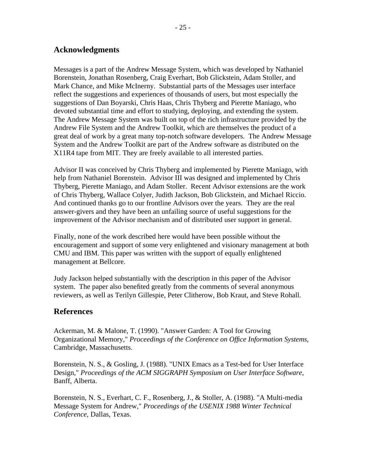## **Acknowledgments**

Messages is a part of the Andrew Message System, which was developed by Nathaniel Borenstein, Jonathan Rosenberg, Craig Everhart, Bob Glickstein, Adam Stoller, and Mark Chance, and Mike McInerny. Substantial parts of the Messages user interface reflect the suggestions and experiences of thousands of users, but most especially the suggestions of Dan Boyarski, Chris Haas, Chris Thyberg and Pierette Maniago, who devoted substantial time and effort to studying, deploying, and extending the system. The Andrew Message System was built on top of the rich infrastructure provided by the Andrew File System and the Andrew Toolkit, which are themselves the product of a great deal of work by a great many top-notch software developers. The Andrew Message System and the Andrew Toolkit are part of the Andrew software as distributed on the X11R4 tape from MIT. They are freely available to all interested parties.

Advisor II was conceived by Chris Thyberg and implemented by Pierette Maniago, with help from Nathaniel Borenstein. Advisor III was designed and implemented by Chris Thyberg, Pierette Maniago, and Adam Stoller. Recent Advisor extensions are the work of Chris Thyberg, Wallace Colyer, Judith Jackson, Bob Glickstein, and Michael Riccio. And continued thanks go to our frontline Advisors over the years. They are the real answer-givers and they have been an unfailing source of useful suggestions for the improvement of the Advisor mechanism and of distributed user support in general.

Finally, none of the work described here would have been possible without the encouragement and support of some very enlightened and visionary management at both CMU and IBM. This paper was written with the support of equally enlightened management at Bellcore.

Judy Jackson helped substantially with the description in this paper of the Advisor system. The paper also benefited greatly from the comments of several anonymous reviewers, as well as Terilyn Gillespie, Peter Clitherow, Bob Kraut, and Steve Rohall.

### **References**

Ackerman, M. & Malone, T. (1990). "Answer Garden: A Tool for Growing Organizational Memory," *Proceedings of the Conference on Office Information Systems*, Cambridge, Massachusetts.

Borenstein, N. S., & Gosling, J. (1988). "UNIX Emacs as a Test-bed for User Interface Design," *Proceedings of the ACM SIGGRAPH Symposium on User Interface Software*, Banff, Alberta.

Borenstein, N. S., Everhart, C. F., Rosenberg, J., & Stoller, A. (1988). "A Multi-media Message System for Andrew," *Proceedings of the USENIX 1988 Winter Technical Conference,* Dallas, Texas.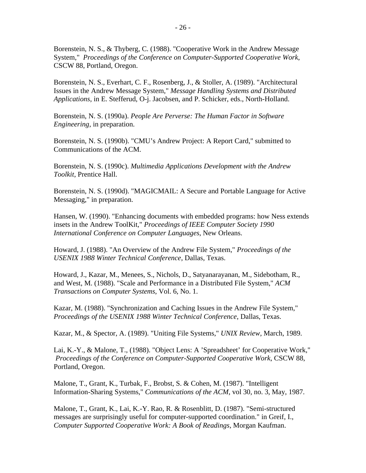Borenstein, N. S., & Thyberg, C. (1988). "Cooperative Work in the Andrew Message System," *Proceedings of the Conference on Computer-Supported Cooperative Work*, CSCW 88, Portland, Oregon.

Borenstein, N. S., Everhart, C. F., Rosenberg, J., & Stoller, A. (1989). "Architectural Issues in the Andrew Message System," *Message Handling Systems and Distributed Applications*, in E. Stefferud, O-j. Jacobsen, and P. Schicker, eds., North-Holland.

Borenstein, N. S. (1990a). *People Are Perverse: The Human Factor in Software Engineering*, in preparation.

Borenstein, N. S. (1990b). "CMU's Andrew Project: A Report Card," submitted to Communications of the ACM.

Borenstein, N. S. (1990c). *Multimedia Applications Development with the Andrew Toolkit*, Prentice Hall.

Borenstein, N. S. (1990d). "MAGICMAIL: A Secure and Portable Language for Active Messaging," in preparation.

Hansen, W. (1990). "Enhancing documents with embedded programs: how Ness extends insets in the Andrew ToolKit," *Proceedings of IEEE Computer Society 1990 International Conference on Computer Languages*, New Orleans.

Howard, J. (1988). "An Overview of the Andrew File System," *Proceedings of the USENIX 1988 Winter Technical Conference*, Dallas, Texas.

Howard, J., Kazar, M., Menees, S., Nichols, D., Satyanarayanan, M., Sidebotham, R., and West, M. (1988). "Scale and Performance in a Distributed File System," *ACM Transactions on Computer Systems*, Vol. 6, No. 1.

Kazar, M. (1988). "Synchronization and Caching Issues in the Andrew File System," *Proceedings of the USENIX 1988 Winter Technical Conference*, Dallas, Texas.

Kazar, M., & Spector, A. (1989). "Uniting File Systems," *UNIX Review*, March, 1989.

Lai, K.-Y., & Malone, T., (1988). "Object Lens: A 'Spreadsheet' for Cooperative Work," *Proceedings of the Conference on Computer-Supported Cooperative Work*, CSCW 88, Portland, Oregon.

Malone, T., Grant, K., Turbak, F., Brobst, S. & Cohen, M. (1987). "Intelligent Information-Sharing Systems," *Communications of the ACM*, vol 30, no. 3, May, 1987.

Malone, T., Grant, K., Lai, K.-Y. Rao, R. & Rosenblitt, D. (1987). "Semi-structured messages are surprisingly useful for computer-supported coordination." in Greif, I., *Computer Supported Cooperative Work: A Book of Readings*, Morgan Kaufman.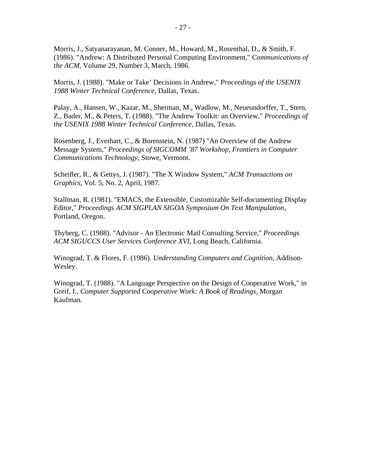Morris, J., Satyanarayanan, M. Conner, M., Howard, M., Rosenthal, D., & Smith, F. (1986). "Andrew: A Distributed Personal Computing Environment," C*ommunications of the ACM*, Volume 29, Number 3, March, 1986.

Morris, J. (1988). "Make or Take' Decisions in Andrew," *Proceedings of the USENIX 1988 Winter Technical Conference*, Dallas, Texas.

Palay, A., Hansen, W., Kazar, M., Sherman, M., Wadlow, M., Neueundorffer, T., Stern, Z., Bader, M., & Peters, T. (1988). "The Andrew Toolkit: an Overview," *Proceedings of the USENIX 1988 Winter Technical Conference*, Dallas, Texas.

Rosenberg, J., Everhart, C., & Borenstein, N. (1987) "An Overview of the Andrew Message System," *Proceedings of SIGCOMM '87 Workshop*, *Frontiers in Computer Communications Technology*, Stowe, Vermont.

Scheifler, R., & Gettys, J. (1987). "The X Window System," *ACM Transactions on Graphics*, Vol. 5, No. 2, April, 1987.

Stallman, R. (1981). "EMACS, the Extensible, Customizable Self-documenting Display Editor," *Proceedings ACM SIGPLAN SIGOA Symposium On Text Manipulation*, Portland, Oregon.

Thyberg, C. (1988). "Advisor - An Electronic Mail Consulting Service," *Proceedings ACM SIGUCCS User Services Conference XVI*, Long Beach, California.

Winograd, T. & Flores, F. (1986). *Understanding Computers and Cognition*, Addison-Wesley.

Winograd, T. (1988). "A Language Perspective on the Design of Cooperative Work," in Greif, I., *Computer Supported Cooperative Work: A Book of Readings*, Morgan Kaufman.